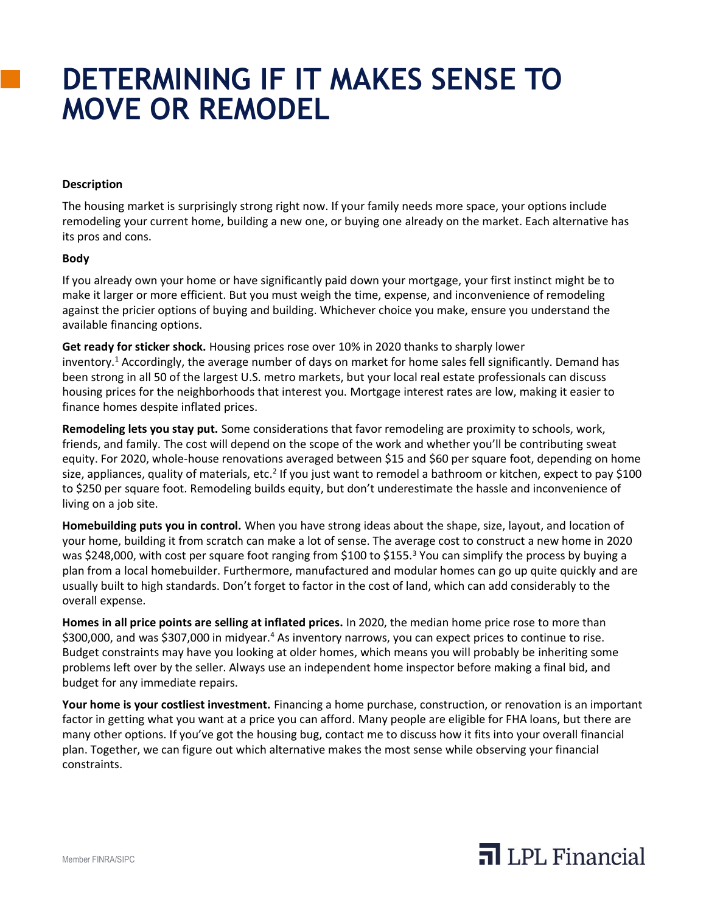## **DETERMINING IF IT MAKES SENSE TO MOVE OR REMODEL**

## **Description**

The housing market is surprisingly strong right now. If your family needs more space, your options include remodeling your current home, building a new one, or buying one already on the market. Each alternative has its pros and cons.

## **Body**

If you already own your home or have significantly paid down your mortgage, your first instinct might be to make it larger or more efficient. But you must weigh the time, expense, and inconvenience of remodeling against the pricier options of buying and building. Whichever choice you make, ensure you understand the available financing options.

**Get ready for sticker shock.** Housing prices rose over 10% in 2020 thanks to sharply lower inventory.<sup>1</sup> Accordingly, the average number of days on market for home sales fell significantly. Demand has been strong in all 50 of the largest U.S. metro markets, but your local real estate professionals can discuss housing prices for the neighborhoods that interest you. Mortgage interest rates are low, making it easier to finance homes despite inflated prices.

**Remodeling lets you stay put.** Some considerations that favor remodeling are proximity to schools, work, friends, and family. The cost will depend on the scope of the work and whether you'll be contributing sweat equity. For 2020, whole-house renovations averaged between \$15 and \$60 per square foot, depending on home size, appliances, quality of materials, etc.<sup>2</sup> If you just want to remodel a bathroom or kitchen, expect to pay \$100 to \$250 per square foot. Remodeling builds equity, but don't underestimate the hassle and inconvenience of living on a job site.

**Homebuilding puts you in control.** When you have strong ideas about the shape, size, layout, and location of your home, building it from scratch can make a lot of sense. The average cost to construct a new home in 2020 was \$248,000, with cost per square foot ranging from \$100 to \$155.<sup>3</sup> You can simplify the process by buying a plan from a local homebuilder. Furthermore, manufactured and modular homes can go up quite quickly and are usually built to high standards. Don't forget to factor in the cost of land, which can add considerably to the overall expense.

**Homes in all price points are selling at inflated prices.** In 2020, the median home price rose to more than \$300,000, and was \$307,000 in midyear.<sup>4</sup> As inventory narrows, you can expect prices to continue to rise. Budget constraints may have you looking at older homes, which means you will probably be inheriting some problems left over by the seller. Always use an independent home inspector before making a final bid, and budget for any immediate repairs.

**Your home is your costliest investment.** Financing a home purchase, construction, or renovation is an important factor in getting what you want at a price you can afford. Many people are eligible for FHA loans, but there are many other options. If you've got the housing bug, contact me to discuss how it fits into your overall financial plan. Together, we can figure out which alternative makes the most sense while observing your financial constraints.